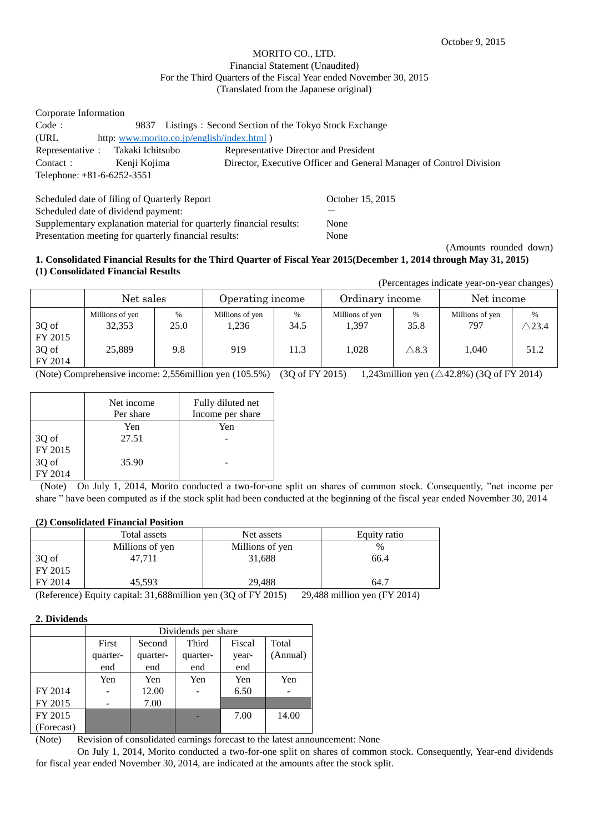# MORITO CO., LTD. Financial Statement (Unaudited) For the Third Quarters of the Fiscal Year ended November 30, 2015 (Translated from the Japanese original)

| Corporate Information             |                                            |                                                                     |
|-----------------------------------|--------------------------------------------|---------------------------------------------------------------------|
| Code:                             | 9837                                       | Listings: Second Section of the Tokyo Stock Exchange                |
| (URL)                             | http: www.morito.co.jp/english/index.html) |                                                                     |
| Representative : Takaki Ichitsubo |                                            | Representative Director and President                               |
| Contact :                         | Kenji Kojima                               | Director, Executive Officer and General Manager of Control Division |
| Telephone: $+81-6-6252-3551$      |                                            |                                                                     |
|                                   |                                            |                                                                     |

Scheduled date of filing of Quarterly Report Cocober 15, 2015 Scheduled date of dividend payment: Supplementary explanation material for quarterly financial results: None Presentation meeting for quarterly financial results: None

(Amounts rounded down)

#### **1. Consolidated Financial Results for the Third Quarter of Fiscal Year 2015(December 1, 2014 through May 31, 2015) (1) Consolidated Financial Results** (Percentages indicate year-on-year changes)

|                                      |                                     |                     |                                 |                      |                                   |                                          | referentages indicate year-on-year changes) |                                  |
|--------------------------------------|-------------------------------------|---------------------|---------------------------------|----------------------|-----------------------------------|------------------------------------------|---------------------------------------------|----------------------------------|
|                                      | Net sales                           |                     | Operating income                |                      | Ordinary income                   |                                          | Net income                                  |                                  |
| 3Q of<br>FY 2015<br>3Q of<br>FY 2014 | Millions of yen<br>32.353<br>25.889 | $\%$<br>25.0<br>9.8 | Millions of yen<br>1.236<br>919 | $\%$<br>34.5<br>11.3 | Millions of yen<br>1.397<br>1.028 | $\frac{0}{0}$<br>35.8<br>$\triangle$ 8.3 | Millions of yen<br>797<br>1.040             | $\%$<br>$\triangle$ 23.4<br>51.2 |

(Note) Comprehensive income: 2,556 million yen (105.5%) (3Q of FY 2015) 1,243 million yen ( $\triangle 42.8\%$ ) (3Q of FY 2014)

|         | Net income<br>Per share | Fully diluted net<br>Income per share |
|---------|-------------------------|---------------------------------------|
|         | Yen                     | Yen                                   |
| 3Q of   | 27.51                   |                                       |
| FY 2015 |                         |                                       |
| 3Q of   | 35.90                   |                                       |
| FY 2014 |                         |                                       |

(Note) On July 1, 2014, Morito conducted a two-for-one split on shares of common stock. Consequently, "net income per share " have been computed as if the stock split had been conducted at the beginning of the fiscal year ended November 30, 2014

# **(2) Consolidated Financial Position**

|                                                                                | Total assets    | Net assets      | Equity ratio |
|--------------------------------------------------------------------------------|-----------------|-----------------|--------------|
|                                                                                | Millions of yen | Millions of yen | $\%$         |
| $\left  \begin{array}{c} 3Q \text{ of} \\ \text{FY } 2015 \end{array} \right $ | 47.711          | 31,688          | 66.4         |
|                                                                                |                 |                 |              |
| FY 2014                                                                        | 45.593          | 29.488          | 64.7         |

(Reference) Equity capital: 31,688million yen (3Q of FY 2015) 29,488 million yen (FY 2014)

# **2. Dividends**

|            | Dividends per share |          |          |        |          |
|------------|---------------------|----------|----------|--------|----------|
|            | First               | Second   | Third    | Fiscal | Total    |
|            | quarter-            | quarter- | quarter- | year-  | (Annual) |
|            | end                 | end      | end      | end    |          |
|            | Yen                 | Yen      | Yen      | Yen    | Yen      |
| FY 2014    |                     | 12.00    |          | 6.50   |          |
| FY 2015    |                     | 7.00     |          |        |          |
| FY 2015    |                     |          |          | 7.00   | 14.00    |
| (Forecast) |                     |          |          |        |          |

(Note) Revision of consolidated earnings forecast to the latest announcement: None

On July 1, 2014, Morito conducted a two-for-one split on shares of common stock. Consequently, Year-end dividends for fiscal year ended November 30, 2014, are indicated at the amounts after the stock split.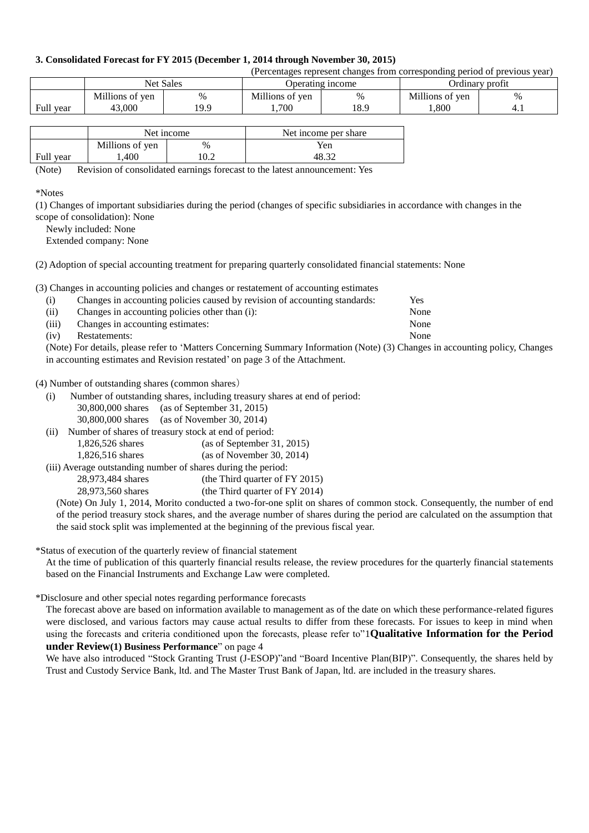#### **3. Consolidated Forecast for FY 2015 (December 1, 2014 through November 30, 2015)**

| (Percentages represent changes from corresponding period of previous year) |                 |                  |                  |      |                 |     |
|----------------------------------------------------------------------------|-----------------|------------------|------------------|------|-----------------|-----|
|                                                                            |                 | <b>Net Sales</b> | Operating income |      | Ordinary profit |     |
|                                                                            | Millions of yen | %                | Millions of yen  | $\%$ | Millions of yen | 0/  |
| Full year                                                                  | 43.000          | 19.9             | .700             | 18.9 | .800            | 4.1 |

|           | Net income      |      | Net income per share |  |
|-----------|-----------------|------|----------------------|--|
|           | Millions of yen | $\%$ | Yen                  |  |
| Full year | .400            |      |                      |  |

(Note) Revision of consolidated earnings forecast to the latest announcement: Yes

\*Notes

(1) Changes of important subsidiaries during the period (changes of specific subsidiaries in accordance with changes in the scope of consolidation): None

Newly included: None

Extended company: None

(2) Adoption of special accounting treatment for preparing quarterly consolidated financial statements: None

(3) Changes in accounting policies and changes or restatement of accounting estimates

| (i)   | Changes in accounting policies caused by revision of accounting standards: | Yes  |
|-------|----------------------------------------------------------------------------|------|
| (ii)  | Changes in accounting policies other than (i):                             | None |
| (iii) | Changes in accounting estimates:                                           | None |
| (iv)  | Restatements:                                                              | None |

(Note) For details, please refer to 'Matters Concerning Summary Information (Note) (3) Changes in accounting policy, Changes in accounting estimates and Revision restated' on page 3 of the Attachment.

(4) Number of outstanding shares (common shares)

(i) Number of outstanding shares, including treasury shares at end of period:

- 30,800,000 shares (as of September 31, 2015) 30,800,000 shares (as of November 30, 2014)
- (ii) Number of shares of treasury stock at end of period: 1,826,526 shares (as of September 31, 2015) 1,826,516 shares (as of November 30, 2014) (iii) Average outstanding number of shares during the period:

28,973,484 shares (the Third quarter of FY 2015) 28,973,560 shares (the Third quarter of FY 2014)

(Note) On July 1, 2014, Morito conducted a two-for-one split on shares of common stock. Consequently, the number of end of the period treasury stock shares, and the average number of shares during the period are calculated on the assumption that the said stock split was implemented at the beginning of the previous fiscal year.

\*Status of execution of the quarterly review of financial statement

At the time of publication of this quarterly financial results release, the review procedures for the quarterly financial statements based on the Financial Instruments and Exchange Law were completed.

\*Disclosure and other special notes regarding performance forecasts

The forecast above are based on information available to management as of the date on which these performance-related figures were disclosed, and various factors may cause actual results to differ from these forecasts. For issues to keep in mind when using the forecasts and criteria conditioned upon the forecasts, please refer to["1](#page-3-0)**[Qualitative Information for the Period](#page-3-0)  [under Review](#page-3-0)[\(1\) Business Performance](#page-3-0)**" on page 4

We have also introduced "Stock Granting Trust (J-ESOP)" and "Board Incentive Plan(BIP)". Consequently, the shares held by Trust and Custody Service Bank, ltd. and The Master Trust Bank of Japan, ltd. are included in the treasury shares.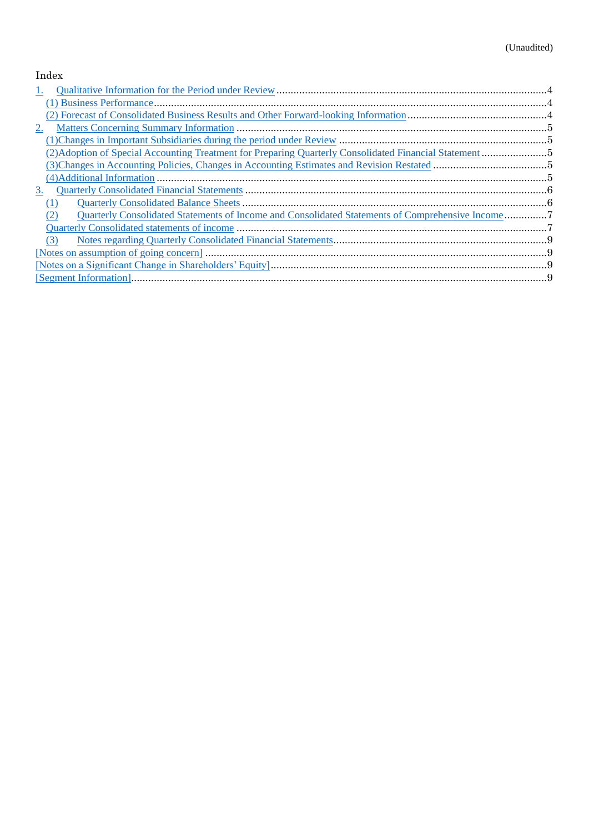# Index

| Ι.                                                                                                      |  |
|---------------------------------------------------------------------------------------------------------|--|
|                                                                                                         |  |
|                                                                                                         |  |
| 2.                                                                                                      |  |
|                                                                                                         |  |
|                                                                                                         |  |
|                                                                                                         |  |
|                                                                                                         |  |
| 3.                                                                                                      |  |
|                                                                                                         |  |
| Quarterly Consolidated Statements of Income and Consolidated Statements of Comprehensive Income7<br>(2) |  |
|                                                                                                         |  |
| (3)                                                                                                     |  |
|                                                                                                         |  |
|                                                                                                         |  |
|                                                                                                         |  |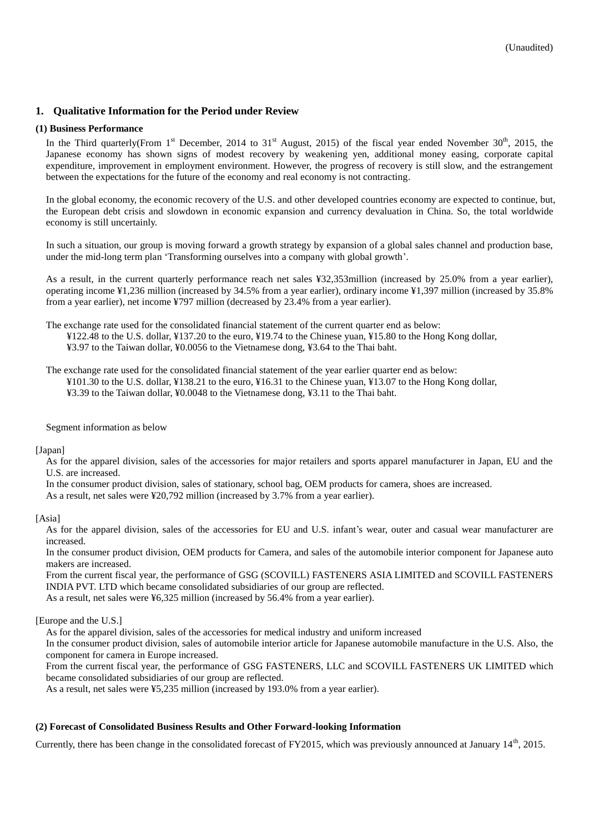# <span id="page-3-0"></span>**1. Qualitative Information for the Period under Review**

#### <span id="page-3-1"></span>**(1) Business Performance**

In the Third quarterly(From 1<sup>st</sup> December, 2014 to 31<sup>st</sup> August, 2015) of the fiscal year ended November 30<sup>th</sup>, 2015, the Japanese economy has shown signs of modest recovery by weakening yen, additional money easing, corporate capital expenditure, improvement in employment environment. However, the progress of recovery is still slow, and the estrangement between the expectations for the future of the economy and real economy is not contracting.

In the global economy, the economic recovery of the U.S. and other developed countries economy are expected to continue, but, the European debt crisis and slowdown in economic expansion and currency devaluation in China. So, the total worldwide economy is still uncertainly.

In such a situation, our group is moving forward a growth strategy by expansion of a global sales channel and production base, under the mid-long term plan 'Transforming ourselves into a company with global growth'.

As a result, in the current quarterly performance reach net sales ¥32,353million (increased by 25.0% from a year earlier), operating income ¥1,236 million (increased by 34.5% from a year earlier), ordinary income ¥1,397 million (increased by 35.8% from a year earlier), net income ¥797 million (decreased by 23.4% from a year earlier).

The exchange rate used for the consolidated financial statement of the current quarter end as below:

¥122.48 to the U.S. dollar, ¥137.20 to the euro, ¥19.74 to the Chinese yuan, ¥15.80 to the Hong Kong dollar, ¥3.97 to the Taiwan dollar, ¥0.0056 to the Vietnamese dong, ¥3.64 to the Thai baht.

The exchange rate used for the consolidated financial statement of the year earlier quarter end as below: ¥101.30 to the U.S. dollar, ¥138.21 to the euro, ¥16.31 to the Chinese yuan, ¥13.07 to the Hong Kong dollar, ¥3.39 to the Taiwan dollar, ¥0.0048 to the Vietnamese dong, ¥3.11 to the Thai baht.

Segment information as below

[Japan]

As for the apparel division, sales of the accessories for major retailers and sports apparel manufacturer in Japan, EU and the U.S. are increased.

In the consumer product division, sales of stationary, school bag, OEM products for camera, shoes are increased.

As a result, net sales were ¥20,792 million (increased by 3.7% from a year earlier).

[Asia]

As for the apparel division, sales of the accessories for EU and U.S. infant's wear, outer and casual wear manufacturer are increased.

In the consumer product division, OEM products for Camera, and sales of the automobile interior component for Japanese auto makers are increased.

From the current fiscal year, the performance of GSG (SCOVILL) FASTENERS ASIA LIMITED and SCOVILL FASTENERS INDIA PVT. LTD which became consolidated subsidiaries of our group are reflected.

As a result, net sales were ¥6,325 million (increased by 56.4% from a year earlier).

[Europe and the U.S.]

As for the apparel division, sales of the accessories for medical industry and uniform increased

In the consumer product division, sales of automobile interior article for Japanese automobile manufacture in the U.S. Also, the component for camera in Europe increased.

From the current fiscal year, the performance of GSG FASTENERS, LLC and SCOVILL FASTENERS UK LIMITED which became consolidated subsidiaries of our group are reflected.

As a result, net sales were ¥5,235 million (increased by 193.0% from a year earlier).

# <span id="page-3-2"></span>**(2) Forecast of Consolidated Business Results and Other Forward-looking Information**

Currently, there has been change in the consolidated forecast of FY2015, which was previously announced at January  $14<sup>th</sup>$ , 2015.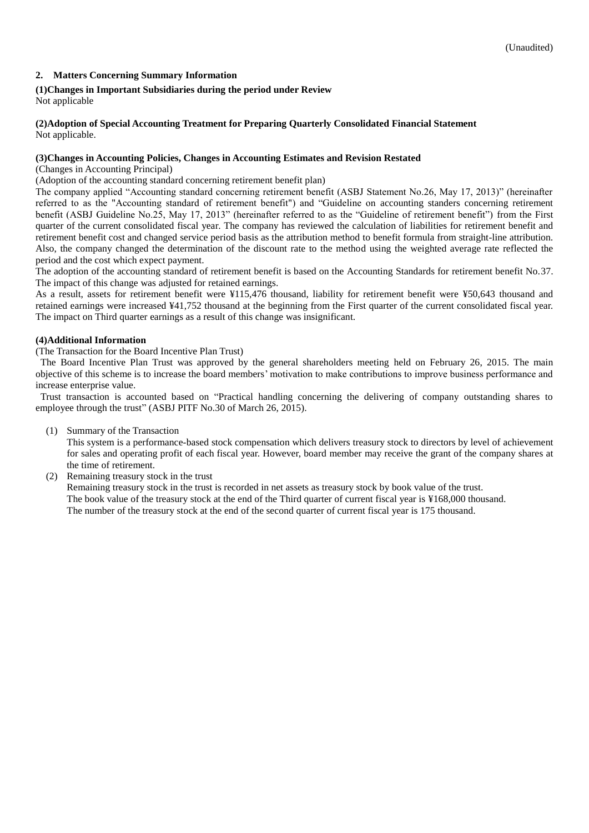# <span id="page-4-0"></span>**2. Matters Concerning Summary Information**

# <span id="page-4-1"></span>**(1)Changes in Important Subsidiaries during the period under Review**

Not applicable

#### <span id="page-4-2"></span>**(2)Adoption of Special Accounting Treatment for Preparing Quarterly Consolidated Financial Statement** Not applicable.

# <span id="page-4-3"></span>**(3)Changes in Accounting Policies, Changes in Accounting Estimates and Revision Restated**

(Changes in Accounting Principal)

(Adoption of the accounting standard concerning retirement benefit plan)

The company applied "Accounting standard concerning retirement benefit (ASBJ Statement No.26, May 17, 2013)" (hereinafter referred to as the "Accounting standard of retirement benefit") and "Guideline on accounting standers concerning retirement benefit (ASBJ Guideline No.25, May 17, 2013" (hereinafter referred to as the "Guideline of retirement benefit") from the First quarter of the current consolidated fiscal year. The company has reviewed the calculation of liabilities for retirement benefit and retirement benefit cost and changed service period basis as the attribution method to benefit formula from straight-line attribution. Also, the company changed the determination of the discount rate to the method using the weighted average rate reflected the period and the cost which expect payment.

The adoption of the accounting standard of retirement benefit is based on the Accounting Standards for retirement benefit No.37. The impact of this change was adjusted for retained earnings.

As a result, assets for retirement benefit were ¥115,476 thousand, liability for retirement benefit were ¥50,643 thousand and retained earnings were increased ¥41,752 thousand at the beginning from the First quarter of the current consolidated fiscal year. The impact on Third quarter earnings as a result of this change was insignificant.

# <span id="page-4-4"></span>**(4)Additional Information**

(The Transaction for the Board Incentive Plan Trust)

The Board Incentive Plan Trust was approved by the general shareholders meeting held on February 26, 2015. The main objective of this scheme is to increase the board members' motivation to make contributions to improve business performance and increase enterprise value.

Trust transaction is accounted based on "Practical handling concerning the delivering of company outstanding shares to employee through the trust" (ASBJ PITF No.30 of March 26, 2015).

(1) Summary of the Transaction

This system is a performance-based stock compensation which delivers treasury stock to directors by level of achievement for sales and operating profit of each fiscal year. However, board member may receive the grant of the company shares at the time of retirement.

(2) Remaining treasury stock in the trust

Remaining treasury stock in the trust is recorded in net assets as treasury stock by book value of the trust. The book value of the treasury stock at the end of the Third quarter of current fiscal year is ¥168,000 thousand. The number of the treasury stock at the end of the second quarter of current fiscal year is 175 thousand.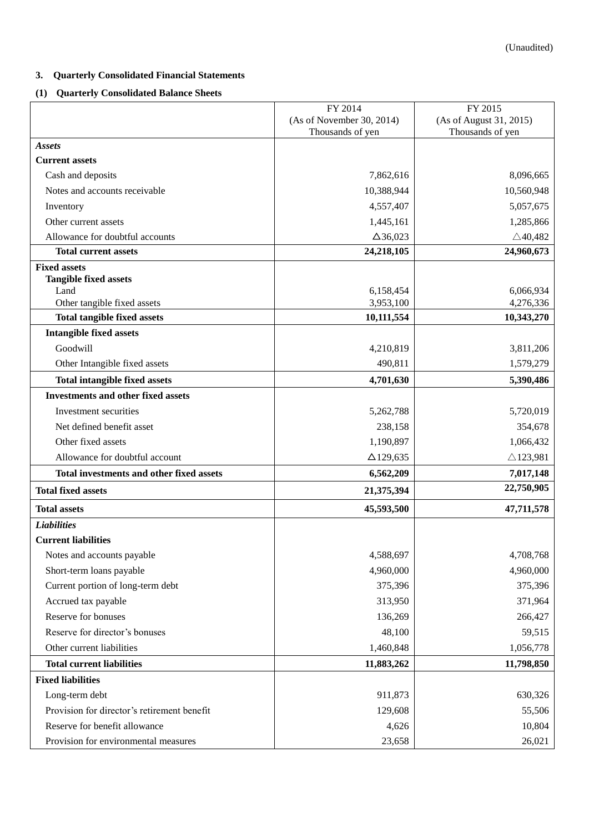# <span id="page-5-0"></span>**3. Quarterly Consolidated Financial Statements**

# <span id="page-5-1"></span>**(1) Quarterly Consolidated Balance Sheets**

|                                                     | FY 2014                   | FY 2015                 |
|-----------------------------------------------------|---------------------------|-------------------------|
|                                                     | (As of November 30, 2014) | (As of August 31, 2015) |
|                                                     | Thousands of yen          | Thousands of yen        |
| <b>Assets</b><br><b>Current assets</b>              |                           |                         |
|                                                     |                           | 8,096,665               |
| Cash and deposits<br>Notes and accounts receivable  | 7,862,616                 | 10,560,948              |
|                                                     | 10,388,944                |                         |
| Inventory                                           | 4,557,407                 | 5,057,675               |
| Other current assets                                | 1,445,161                 | 1,285,866               |
| Allowance for doubtful accounts                     | $\Delta$ 36,023           | $\triangle$ 40,482      |
| <b>Total current assets</b>                         | 24,218,105                | 24,960,673              |
| <b>Fixed assets</b><br><b>Tangible fixed assets</b> |                           |                         |
| Land                                                | 6,158,454                 | 6,066,934               |
| Other tangible fixed assets                         | 3,953,100                 | 4,276,336               |
| <b>Total tangible fixed assets</b>                  | 10,111,554                | 10,343,270              |
| <b>Intangible fixed assets</b>                      |                           |                         |
| Goodwill                                            | 4,210,819                 | 3,811,206               |
| Other Intangible fixed assets                       | 490,811                   | 1,579,279               |
| <b>Total intangible fixed assets</b>                | 4,701,630                 | 5,390,486               |
| <b>Investments and other fixed assets</b>           |                           |                         |
| Investment securities                               | 5,262,788                 | 5,720,019               |
| Net defined benefit asset                           | 238,158                   | 354,678                 |
| Other fixed assets                                  | 1,190,897                 | 1,066,432               |
| Allowance for doubtful account                      | $\Delta$ 129,635          | $\triangle$ 123,981     |
| Total investments and other fixed assets            | 6,562,209                 | 7,017,148               |
| <b>Total fixed assets</b>                           | 21,375,394                | 22,750,905              |
| <b>Total assets</b>                                 | 45,593,500                | 47,711,578              |
| <b>Liabilities</b>                                  |                           |                         |
| <b>Current liabilities</b>                          |                           |                         |
| Notes and accounts payable                          | 4,588,697                 | 4,708,768               |
| Short-term loans payable                            | 4,960,000                 | 4,960,000               |
| Current portion of long-term debt                   | 375,396                   | 375,396                 |
| Accrued tax payable                                 | 313,950                   | 371,964                 |
| Reserve for bonuses                                 | 136,269                   | 266,427                 |
| Reserve for director's bonuses                      | 48,100                    | 59,515                  |
| Other current liabilities                           | 1,460,848                 | 1,056,778               |
| <b>Total current liabilities</b>                    | 11,883,262                | 11,798,850              |
| <b>Fixed liabilities</b>                            |                           |                         |
| Long-term debt                                      | 911,873                   | 630,326                 |
| Provision for director's retirement benefit         | 129,608                   | 55,506                  |
| Reserve for benefit allowance                       | 4,626                     | 10,804                  |
| Provision for environmental measures                | 23,658                    | 26,021                  |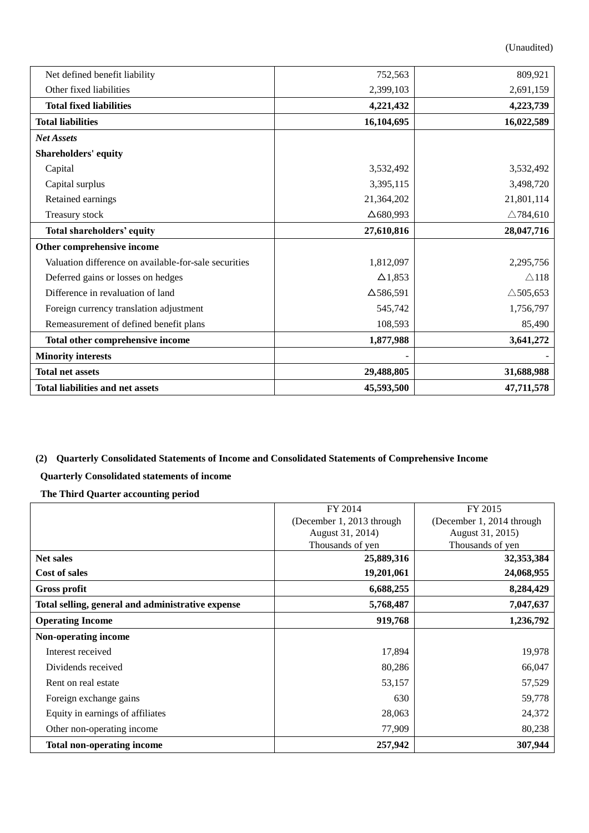(Unaudited)

| Net defined benefit liability<br>Other fixed liabilities | 752,563<br>2,399,103 | 809,921<br>2,691,159 |
|----------------------------------------------------------|----------------------|----------------------|
| <b>Total fixed liabilities</b>                           | 4,221,432            | 4,223,739            |
| <b>Total liabilities</b>                                 | 16,104,695           | 16,022,589           |
| <b>Net Assets</b>                                        |                      |                      |
| <b>Shareholders' equity</b>                              |                      |                      |
| Capital                                                  | 3,532,492            | 3,532,492            |
| Capital surplus                                          | 3,395,115            | 3,498,720            |
| Retained earnings                                        | 21,364,202           | 21,801,114           |
| Treasury stock                                           | $\Delta$ 680,993     | $\triangle$ 784,610  |
| Total shareholders' equity                               | 27,610,816           | 28,047,716           |
| Other comprehensive income                               |                      |                      |
| Valuation difference on available-for-sale securities    | 1,812,097            | 2,295,756            |
| Deferred gains or losses on hedges                       | $\Delta$ 1,853       | $\triangle$ 118      |
| Difference in revaluation of land                        | $\Delta$ 586,591     | $\triangle$ 505,653  |
| Foreign currency translation adjustment                  | 545,742              | 1,756,797            |
| Remeasurement of defined benefit plans                   | 108,593              | 85,490               |
| Total other comprehensive income                         | 1,877,988            | 3,641,272            |
| <b>Minority interests</b>                                |                      |                      |
| <b>Total net assets</b>                                  | 29,488,805           | 31,688,988           |
| <b>Total liabilities and net assets</b>                  | 45,593,500           | 47,711,578           |

# <span id="page-6-0"></span>**(2) Quarterly Consolidated Statements of Income and Consolidated Statements of Comprehensive Income**

# <span id="page-6-1"></span>**Quarterly Consolidated statements of income**

**The Third Quarter accounting period**

|                                                   | FY 2014                   | FY 2015                   |
|---------------------------------------------------|---------------------------|---------------------------|
|                                                   | (December 1, 2013 through | (December 1, 2014 through |
|                                                   | August 31, 2014)          | August 31, 2015)          |
|                                                   | Thousands of yen          | Thousands of yen          |
| <b>Net sales</b>                                  | 25,889,316                | 32, 353, 384              |
| <b>Cost of sales</b>                              | 19,201,061                | 24,068,955                |
| <b>Gross profit</b>                               | 6,688,255                 | 8,284,429                 |
| Total selling, general and administrative expense | 5,768,487                 | 7,047,637                 |
| <b>Operating Income</b>                           | 919,768                   | 1,236,792                 |
| Non-operating income                              |                           |                           |
| Interest received                                 | 17,894                    | 19,978                    |
| Dividends received                                | 80,286                    | 66,047                    |
| Rent on real estate                               | 53,157                    | 57,529                    |
| Foreign exchange gains                            | 630                       | 59,778                    |
| Equity in earnings of affiliates                  | 28,063                    | 24,372                    |
| Other non-operating income                        | 77,909                    | 80,238                    |
| <b>Total non-operating income</b>                 | 257,942                   | 307,944                   |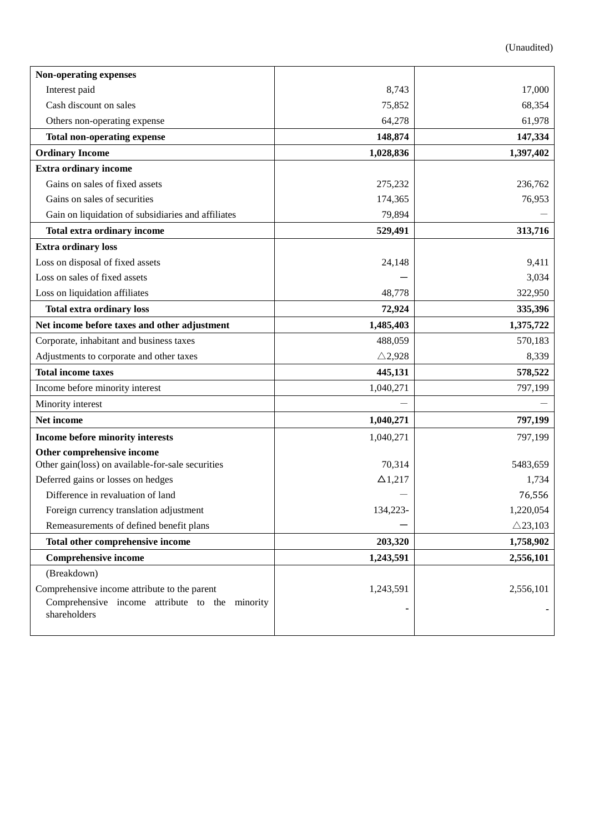| Non-operating expenses                                         |                   |                    |
|----------------------------------------------------------------|-------------------|--------------------|
| Interest paid                                                  | 8,743             | 17,000             |
| Cash discount on sales                                         | 75,852            | 68,354             |
| Others non-operating expense                                   | 64,278            | 61,978             |
| <b>Total non-operating expense</b>                             | 148,874           | 147,334            |
| <b>Ordinary Income</b>                                         | 1,028,836         | 1,397,402          |
| <b>Extra ordinary income</b>                                   |                   |                    |
| Gains on sales of fixed assets                                 | 275,232           | 236,762            |
| Gains on sales of securities                                   | 174,365           | 76,953             |
| Gain on liquidation of subsidiaries and affiliates             | 79,894            |                    |
| <b>Total extra ordinary income</b>                             | 529,491           | 313,716            |
| <b>Extra ordinary loss</b>                                     |                   |                    |
| Loss on disposal of fixed assets                               | 24,148            | 9,411              |
| Loss on sales of fixed assets                                  |                   | 3,034              |
| Loss on liquidation affiliates                                 | 48,778            | 322,950            |
| <b>Total extra ordinary loss</b>                               | 72,924            | 335,396            |
| Net income before taxes and other adjustment                   | 1,485,403         | 1,375,722          |
| Corporate, inhabitant and business taxes                       | 488,059           | 570,183            |
| Adjustments to corporate and other taxes                       | $\triangle$ 2,928 | 8,339              |
| <b>Total income taxes</b>                                      | 445,131           | 578,522            |
| Income before minority interest                                | 1,040,271         | 797,199            |
| Minority interest                                              |                   |                    |
| Net income                                                     | 1,040,271         | 797,199            |
| Income before minority interests                               | 1,040,271         | 797,199            |
| Other comprehensive income                                     |                   |                    |
| Other gain(loss) on available-for-sale securities              | 70,314            | 5483,659           |
| Deferred gains or losses on hedges                             | $\Delta$ 1,217    | 1,734              |
| Difference in revaluation of land                              |                   | 76,556             |
| Foreign currency translation adjustment                        | 134,223           | 1,220,054          |
| Remeasurements of defined benefit plans                        |                   | $\triangle$ 23,103 |
| Total other comprehensive income                               | 203,320           | 1,758,902          |
| <b>Comprehensive income</b>                                    | 1,243,591         | 2,556,101          |
| (Breakdown)                                                    |                   |                    |
| Comprehensive income attribute to the parent                   | 1,243,591         | 2,556,101          |
| Comprehensive income attribute to the minority<br>shareholders |                   |                    |